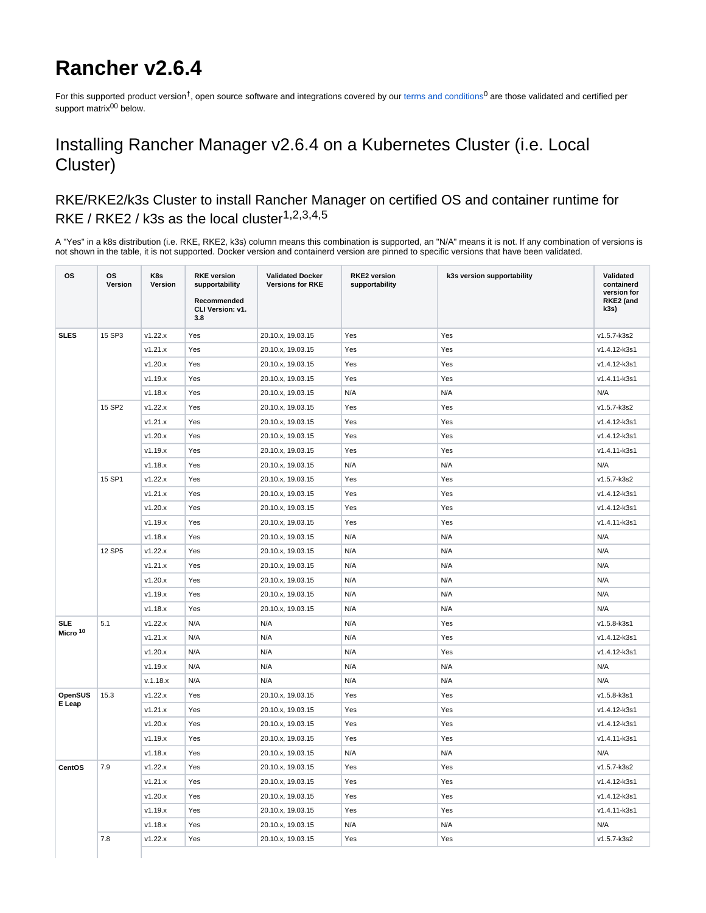# **Rancher v2.6.4**

For this supported product version<sup>†</sup>, open source software and integrations covered by our [terms and conditions](https://www.suse.com/products/terms_and_conditions.pdf)<sup>0</sup> are those validated and certified per support matrix<sup>00</sup> below.

## Installing Rancher Manager v2.6.4 on a Kubernetes Cluster (i.e. Local Cluster)

### RKE/RKE2/k3s Cluster to install Rancher Manager on certified OS and container runtime for RKE / RKE2 / k3s as the local cluster $1,2,3,4,5$

A "Yes" in a k8s distribution (i.e. RKE, RKE2, k3s) column means this combination is supported, an "N/A" means it is not. If any combination of versions is not shown in the table, it is not supported. Docker version and containerd version are pinned to specific versions that have been validated.

| 15 SP3<br><b>SLES</b><br>v1.22.x<br>Yes<br>20.10.x, 19.03.15<br>Yes<br>v1.5.7-k3s2<br>Yes<br>Yes<br>v1.21.x<br>20.10.x, 19.03.15<br>Yes<br>Yes<br>v1.4.12-k3s1<br>v1.20.x<br>Yes<br>20.10.x, 19.03.15<br>Yes<br>Yes<br>v1.4.12-k3s1<br>v1.19.x<br>Yes<br>20.10.x, 19.03.15<br>Yes<br>Yes<br>v1.4.11-k3s1<br>v1.18.x<br>Yes<br>N/A<br>N/A<br>N/A<br>20.10.x, 19.03.15<br>15 SP2<br>v1.22.x<br>Yes<br>20.10.x, 19.03.15<br>v1.5.7-k3s2<br>Yes<br>Yes<br>v1.21.x<br>Yes<br>20.10.x, 19.03.15<br>Yes<br>Yes<br>v1.4.12-k3s1<br>v1.20.x<br>Yes<br>Yes<br>v1.4.12-k3s1<br>20.10.x, 19.03.15<br>Yes<br>v1.19.x<br>Yes<br>v1.4.11-k3s1<br>20.10.x, 19.03.15<br>Yes<br>Yes<br>N/A<br>N/A<br>N/A<br>v1.18.x<br>Yes<br>20.10.x, 19.03.15<br>15 SP1<br>v1.5.7-k3s2<br>v1.22.x<br>Yes<br>20.10.x, 19.03.15<br>Yes<br>Yes<br>v1.21.x<br>Yes<br>20.10.x, 19.03.15<br>Yes<br>v1.4.12-k3s1<br>Yes<br>v1.20.x<br>Yes<br>Yes<br>Yes<br>v1.4.12-k3s1<br>20.10.x, 19.03.15<br>v1.19.x<br>Yes<br>Yes<br>v1.4.11-k3s1<br>20.10.x, 19.03.15<br>Yes<br>v1.18.x<br>Yes<br>N/A<br>N/A<br>N/A<br>20.10.x, 19.03.15<br>12 SP5<br>N/A<br>v1.22.x<br>Yes<br>N/A<br>N/A<br>20.10.x, 19.03.15<br>v1.21.x<br>Yes<br>20.10.x, 19.03.15<br>N/A<br>N/A<br>N/A<br>v1.20.x<br>N/A<br>N/A<br>Yes<br>20.10.x, 19.03.15<br>N/A<br>Yes<br>N/A<br>N/A<br>N/A<br>v1.19.x<br>20.10.x, 19.03.15<br>N/A<br>N/A<br>v1.18.x<br>Yes<br>20.10.x, 19.03.15<br>N/A<br><b>SLE</b><br>5.1<br>v1.22.x<br>N/A<br>N/A<br>N/A<br>Yes<br>v1.5.8-k3s1<br>Micro <sup>10</sup><br>N/A<br>v1.21.x<br>N/A<br>N/A<br>Yes<br>v1.4.12-k3s1<br>N/A<br>v1.20.x<br>N/A<br>N/A<br>v1.4.12-k3s1<br>Yes<br>v1.19.x<br>N/A<br>N/A<br>N/A<br>N/A<br>N/A<br>N/A<br>N/A<br>N/A<br>N/A<br>N/A<br>v.1.18.x<br>15.3<br>v1.22.x<br>Yes<br>OpenSUS<br>20.10.x, 19.03.15<br>Yes<br>Yes<br>v1.5.8-k3s1<br>E Leap<br>v1.21.x<br>Yes<br>v1.4.12-k3s1<br>20.10.x, 19.03.15<br>Yes<br>Yes<br>v1.20.x<br>Yes<br>20.10.x, 19.03.15<br>v1.4.12-k3s1<br>Yes<br>Yes<br>v1.19.x<br>Yes<br>20.10.x, 19.03.15<br>Yes<br>v1.4.11-k3s1<br>Yes<br>N/A<br>N/A<br>v1.18.x<br>Yes<br>N/A<br>20.10.x, 19.03.15<br>CentOS<br>7.9<br>v1.22.x<br>Yes<br>20.10.x, 19.03.15<br>Yes<br>Yes<br>v1.5.7-k3s2<br>v1.21.x<br>Yes<br>20.10.x, 19.03.15<br>Yes<br>Yes<br>v1.4.12-k3s1<br>v1.20.x<br>Yes<br>v1.4.12-k3s1<br>20.10.x, 19.03.15<br>Yes<br>Yes<br>v1.19.x<br>Yes<br>20.10.x, 19.03.15<br>Yes<br>Yes<br>v1.4.11-k3s1<br>v1.18.x<br>Yes<br>N/A<br>N/A<br>N/A<br>20.10.x, 19.03.15<br>7.8<br>v1.5.7-k3s2<br>v1.22.x<br>Yes<br>20.10.x, 19.03.15<br>Yes<br>Yes | <b>OS</b> | <b>OS</b><br>Version | K8s<br>Version | <b>RKE</b> version<br>supportability<br>Recommended<br>CLI Version: v1.<br>3.8 | <b>Validated Docker</b><br><b>Versions for RKE</b> | <b>RKE2</b> version<br>supportability | k3s version supportability | Validated<br>containerd<br>version for<br>RKE2 (and<br>k3s) |
|--------------------------------------------------------------------------------------------------------------------------------------------------------------------------------------------------------------------------------------------------------------------------------------------------------------------------------------------------------------------------------------------------------------------------------------------------------------------------------------------------------------------------------------------------------------------------------------------------------------------------------------------------------------------------------------------------------------------------------------------------------------------------------------------------------------------------------------------------------------------------------------------------------------------------------------------------------------------------------------------------------------------------------------------------------------------------------------------------------------------------------------------------------------------------------------------------------------------------------------------------------------------------------------------------------------------------------------------------------------------------------------------------------------------------------------------------------------------------------------------------------------------------------------------------------------------------------------------------------------------------------------------------------------------------------------------------------------------------------------------------------------------------------------------------------------------------------------------------------------------------------------------------------------------------------------------------------------------------------------------------------------------------------------------------------------------------------------------------------------------------------------------------------------------------------------------------------------------------------------------------------------------------------------------------------------------------------------------------------------------------------------------------------------------------------------------------------------------------------------------------------------------------------------------------|-----------|----------------------|----------------|--------------------------------------------------------------------------------|----------------------------------------------------|---------------------------------------|----------------------------|-------------------------------------------------------------|
|                                                                                                                                                                                                                                                                                                                                                                                                                                                                                                                                                                                                                                                                                                                                                                                                                                                                                                                                                                                                                                                                                                                                                                                                                                                                                                                                                                                                                                                                                                                                                                                                                                                                                                                                                                                                                                                                                                                                                                                                                                                                                                                                                                                                                                                                                                                                                                                                                                                                                                                                                  |           |                      |                |                                                                                |                                                    |                                       |                            |                                                             |
|                                                                                                                                                                                                                                                                                                                                                                                                                                                                                                                                                                                                                                                                                                                                                                                                                                                                                                                                                                                                                                                                                                                                                                                                                                                                                                                                                                                                                                                                                                                                                                                                                                                                                                                                                                                                                                                                                                                                                                                                                                                                                                                                                                                                                                                                                                                                                                                                                                                                                                                                                  |           |                      |                |                                                                                |                                                    |                                       |                            |                                                             |
|                                                                                                                                                                                                                                                                                                                                                                                                                                                                                                                                                                                                                                                                                                                                                                                                                                                                                                                                                                                                                                                                                                                                                                                                                                                                                                                                                                                                                                                                                                                                                                                                                                                                                                                                                                                                                                                                                                                                                                                                                                                                                                                                                                                                                                                                                                                                                                                                                                                                                                                                                  |           |                      |                |                                                                                |                                                    |                                       |                            |                                                             |
|                                                                                                                                                                                                                                                                                                                                                                                                                                                                                                                                                                                                                                                                                                                                                                                                                                                                                                                                                                                                                                                                                                                                                                                                                                                                                                                                                                                                                                                                                                                                                                                                                                                                                                                                                                                                                                                                                                                                                                                                                                                                                                                                                                                                                                                                                                                                                                                                                                                                                                                                                  |           |                      |                |                                                                                |                                                    |                                       |                            |                                                             |
|                                                                                                                                                                                                                                                                                                                                                                                                                                                                                                                                                                                                                                                                                                                                                                                                                                                                                                                                                                                                                                                                                                                                                                                                                                                                                                                                                                                                                                                                                                                                                                                                                                                                                                                                                                                                                                                                                                                                                                                                                                                                                                                                                                                                                                                                                                                                                                                                                                                                                                                                                  |           |                      |                |                                                                                |                                                    |                                       |                            |                                                             |
|                                                                                                                                                                                                                                                                                                                                                                                                                                                                                                                                                                                                                                                                                                                                                                                                                                                                                                                                                                                                                                                                                                                                                                                                                                                                                                                                                                                                                                                                                                                                                                                                                                                                                                                                                                                                                                                                                                                                                                                                                                                                                                                                                                                                                                                                                                                                                                                                                                                                                                                                                  |           |                      |                |                                                                                |                                                    |                                       |                            |                                                             |
|                                                                                                                                                                                                                                                                                                                                                                                                                                                                                                                                                                                                                                                                                                                                                                                                                                                                                                                                                                                                                                                                                                                                                                                                                                                                                                                                                                                                                                                                                                                                                                                                                                                                                                                                                                                                                                                                                                                                                                                                                                                                                                                                                                                                                                                                                                                                                                                                                                                                                                                                                  |           |                      |                |                                                                                |                                                    |                                       |                            |                                                             |
|                                                                                                                                                                                                                                                                                                                                                                                                                                                                                                                                                                                                                                                                                                                                                                                                                                                                                                                                                                                                                                                                                                                                                                                                                                                                                                                                                                                                                                                                                                                                                                                                                                                                                                                                                                                                                                                                                                                                                                                                                                                                                                                                                                                                                                                                                                                                                                                                                                                                                                                                                  |           |                      |                |                                                                                |                                                    |                                       |                            |                                                             |
|                                                                                                                                                                                                                                                                                                                                                                                                                                                                                                                                                                                                                                                                                                                                                                                                                                                                                                                                                                                                                                                                                                                                                                                                                                                                                                                                                                                                                                                                                                                                                                                                                                                                                                                                                                                                                                                                                                                                                                                                                                                                                                                                                                                                                                                                                                                                                                                                                                                                                                                                                  |           |                      |                |                                                                                |                                                    |                                       |                            |                                                             |
|                                                                                                                                                                                                                                                                                                                                                                                                                                                                                                                                                                                                                                                                                                                                                                                                                                                                                                                                                                                                                                                                                                                                                                                                                                                                                                                                                                                                                                                                                                                                                                                                                                                                                                                                                                                                                                                                                                                                                                                                                                                                                                                                                                                                                                                                                                                                                                                                                                                                                                                                                  |           |                      |                |                                                                                |                                                    |                                       |                            |                                                             |
|                                                                                                                                                                                                                                                                                                                                                                                                                                                                                                                                                                                                                                                                                                                                                                                                                                                                                                                                                                                                                                                                                                                                                                                                                                                                                                                                                                                                                                                                                                                                                                                                                                                                                                                                                                                                                                                                                                                                                                                                                                                                                                                                                                                                                                                                                                                                                                                                                                                                                                                                                  |           |                      |                |                                                                                |                                                    |                                       |                            |                                                             |
|                                                                                                                                                                                                                                                                                                                                                                                                                                                                                                                                                                                                                                                                                                                                                                                                                                                                                                                                                                                                                                                                                                                                                                                                                                                                                                                                                                                                                                                                                                                                                                                                                                                                                                                                                                                                                                                                                                                                                                                                                                                                                                                                                                                                                                                                                                                                                                                                                                                                                                                                                  |           |                      |                |                                                                                |                                                    |                                       |                            |                                                             |
|                                                                                                                                                                                                                                                                                                                                                                                                                                                                                                                                                                                                                                                                                                                                                                                                                                                                                                                                                                                                                                                                                                                                                                                                                                                                                                                                                                                                                                                                                                                                                                                                                                                                                                                                                                                                                                                                                                                                                                                                                                                                                                                                                                                                                                                                                                                                                                                                                                                                                                                                                  |           |                      |                |                                                                                |                                                    |                                       |                            |                                                             |
|                                                                                                                                                                                                                                                                                                                                                                                                                                                                                                                                                                                                                                                                                                                                                                                                                                                                                                                                                                                                                                                                                                                                                                                                                                                                                                                                                                                                                                                                                                                                                                                                                                                                                                                                                                                                                                                                                                                                                                                                                                                                                                                                                                                                                                                                                                                                                                                                                                                                                                                                                  |           |                      |                |                                                                                |                                                    |                                       |                            |                                                             |
|                                                                                                                                                                                                                                                                                                                                                                                                                                                                                                                                                                                                                                                                                                                                                                                                                                                                                                                                                                                                                                                                                                                                                                                                                                                                                                                                                                                                                                                                                                                                                                                                                                                                                                                                                                                                                                                                                                                                                                                                                                                                                                                                                                                                                                                                                                                                                                                                                                                                                                                                                  |           |                      |                |                                                                                |                                                    |                                       |                            |                                                             |
|                                                                                                                                                                                                                                                                                                                                                                                                                                                                                                                                                                                                                                                                                                                                                                                                                                                                                                                                                                                                                                                                                                                                                                                                                                                                                                                                                                                                                                                                                                                                                                                                                                                                                                                                                                                                                                                                                                                                                                                                                                                                                                                                                                                                                                                                                                                                                                                                                                                                                                                                                  |           |                      |                |                                                                                |                                                    |                                       |                            |                                                             |
|                                                                                                                                                                                                                                                                                                                                                                                                                                                                                                                                                                                                                                                                                                                                                                                                                                                                                                                                                                                                                                                                                                                                                                                                                                                                                                                                                                                                                                                                                                                                                                                                                                                                                                                                                                                                                                                                                                                                                                                                                                                                                                                                                                                                                                                                                                                                                                                                                                                                                                                                                  |           |                      |                |                                                                                |                                                    |                                       |                            |                                                             |
|                                                                                                                                                                                                                                                                                                                                                                                                                                                                                                                                                                                                                                                                                                                                                                                                                                                                                                                                                                                                                                                                                                                                                                                                                                                                                                                                                                                                                                                                                                                                                                                                                                                                                                                                                                                                                                                                                                                                                                                                                                                                                                                                                                                                                                                                                                                                                                                                                                                                                                                                                  |           |                      |                |                                                                                |                                                    |                                       |                            |                                                             |
|                                                                                                                                                                                                                                                                                                                                                                                                                                                                                                                                                                                                                                                                                                                                                                                                                                                                                                                                                                                                                                                                                                                                                                                                                                                                                                                                                                                                                                                                                                                                                                                                                                                                                                                                                                                                                                                                                                                                                                                                                                                                                                                                                                                                                                                                                                                                                                                                                                                                                                                                                  |           |                      |                |                                                                                |                                                    |                                       |                            |                                                             |
|                                                                                                                                                                                                                                                                                                                                                                                                                                                                                                                                                                                                                                                                                                                                                                                                                                                                                                                                                                                                                                                                                                                                                                                                                                                                                                                                                                                                                                                                                                                                                                                                                                                                                                                                                                                                                                                                                                                                                                                                                                                                                                                                                                                                                                                                                                                                                                                                                                                                                                                                                  |           |                      |                |                                                                                |                                                    |                                       |                            |                                                             |
|                                                                                                                                                                                                                                                                                                                                                                                                                                                                                                                                                                                                                                                                                                                                                                                                                                                                                                                                                                                                                                                                                                                                                                                                                                                                                                                                                                                                                                                                                                                                                                                                                                                                                                                                                                                                                                                                                                                                                                                                                                                                                                                                                                                                                                                                                                                                                                                                                                                                                                                                                  |           |                      |                |                                                                                |                                                    |                                       |                            |                                                             |
|                                                                                                                                                                                                                                                                                                                                                                                                                                                                                                                                                                                                                                                                                                                                                                                                                                                                                                                                                                                                                                                                                                                                                                                                                                                                                                                                                                                                                                                                                                                                                                                                                                                                                                                                                                                                                                                                                                                                                                                                                                                                                                                                                                                                                                                                                                                                                                                                                                                                                                                                                  |           |                      |                |                                                                                |                                                    |                                       |                            |                                                             |
|                                                                                                                                                                                                                                                                                                                                                                                                                                                                                                                                                                                                                                                                                                                                                                                                                                                                                                                                                                                                                                                                                                                                                                                                                                                                                                                                                                                                                                                                                                                                                                                                                                                                                                                                                                                                                                                                                                                                                                                                                                                                                                                                                                                                                                                                                                                                                                                                                                                                                                                                                  |           |                      |                |                                                                                |                                                    |                                       |                            |                                                             |
|                                                                                                                                                                                                                                                                                                                                                                                                                                                                                                                                                                                                                                                                                                                                                                                                                                                                                                                                                                                                                                                                                                                                                                                                                                                                                                                                                                                                                                                                                                                                                                                                                                                                                                                                                                                                                                                                                                                                                                                                                                                                                                                                                                                                                                                                                                                                                                                                                                                                                                                                                  |           |                      |                |                                                                                |                                                    |                                       |                            |                                                             |
|                                                                                                                                                                                                                                                                                                                                                                                                                                                                                                                                                                                                                                                                                                                                                                                                                                                                                                                                                                                                                                                                                                                                                                                                                                                                                                                                                                                                                                                                                                                                                                                                                                                                                                                                                                                                                                                                                                                                                                                                                                                                                                                                                                                                                                                                                                                                                                                                                                                                                                                                                  |           |                      |                |                                                                                |                                                    |                                       |                            |                                                             |
|                                                                                                                                                                                                                                                                                                                                                                                                                                                                                                                                                                                                                                                                                                                                                                                                                                                                                                                                                                                                                                                                                                                                                                                                                                                                                                                                                                                                                                                                                                                                                                                                                                                                                                                                                                                                                                                                                                                                                                                                                                                                                                                                                                                                                                                                                                                                                                                                                                                                                                                                                  |           |                      |                |                                                                                |                                                    |                                       |                            |                                                             |
|                                                                                                                                                                                                                                                                                                                                                                                                                                                                                                                                                                                                                                                                                                                                                                                                                                                                                                                                                                                                                                                                                                                                                                                                                                                                                                                                                                                                                                                                                                                                                                                                                                                                                                                                                                                                                                                                                                                                                                                                                                                                                                                                                                                                                                                                                                                                                                                                                                                                                                                                                  |           |                      |                |                                                                                |                                                    |                                       |                            |                                                             |
|                                                                                                                                                                                                                                                                                                                                                                                                                                                                                                                                                                                                                                                                                                                                                                                                                                                                                                                                                                                                                                                                                                                                                                                                                                                                                                                                                                                                                                                                                                                                                                                                                                                                                                                                                                                                                                                                                                                                                                                                                                                                                                                                                                                                                                                                                                                                                                                                                                                                                                                                                  |           |                      |                |                                                                                |                                                    |                                       |                            |                                                             |
|                                                                                                                                                                                                                                                                                                                                                                                                                                                                                                                                                                                                                                                                                                                                                                                                                                                                                                                                                                                                                                                                                                                                                                                                                                                                                                                                                                                                                                                                                                                                                                                                                                                                                                                                                                                                                                                                                                                                                                                                                                                                                                                                                                                                                                                                                                                                                                                                                                                                                                                                                  |           |                      |                |                                                                                |                                                    |                                       |                            |                                                             |
|                                                                                                                                                                                                                                                                                                                                                                                                                                                                                                                                                                                                                                                                                                                                                                                                                                                                                                                                                                                                                                                                                                                                                                                                                                                                                                                                                                                                                                                                                                                                                                                                                                                                                                                                                                                                                                                                                                                                                                                                                                                                                                                                                                                                                                                                                                                                                                                                                                                                                                                                                  |           |                      |                |                                                                                |                                                    |                                       |                            |                                                             |
|                                                                                                                                                                                                                                                                                                                                                                                                                                                                                                                                                                                                                                                                                                                                                                                                                                                                                                                                                                                                                                                                                                                                                                                                                                                                                                                                                                                                                                                                                                                                                                                                                                                                                                                                                                                                                                                                                                                                                                                                                                                                                                                                                                                                                                                                                                                                                                                                                                                                                                                                                  |           |                      |                |                                                                                |                                                    |                                       |                            |                                                             |
|                                                                                                                                                                                                                                                                                                                                                                                                                                                                                                                                                                                                                                                                                                                                                                                                                                                                                                                                                                                                                                                                                                                                                                                                                                                                                                                                                                                                                                                                                                                                                                                                                                                                                                                                                                                                                                                                                                                                                                                                                                                                                                                                                                                                                                                                                                                                                                                                                                                                                                                                                  |           |                      |                |                                                                                |                                                    |                                       |                            |                                                             |
|                                                                                                                                                                                                                                                                                                                                                                                                                                                                                                                                                                                                                                                                                                                                                                                                                                                                                                                                                                                                                                                                                                                                                                                                                                                                                                                                                                                                                                                                                                                                                                                                                                                                                                                                                                                                                                                                                                                                                                                                                                                                                                                                                                                                                                                                                                                                                                                                                                                                                                                                                  |           |                      |                |                                                                                |                                                    |                                       |                            |                                                             |
|                                                                                                                                                                                                                                                                                                                                                                                                                                                                                                                                                                                                                                                                                                                                                                                                                                                                                                                                                                                                                                                                                                                                                                                                                                                                                                                                                                                                                                                                                                                                                                                                                                                                                                                                                                                                                                                                                                                                                                                                                                                                                                                                                                                                                                                                                                                                                                                                                                                                                                                                                  |           |                      |                |                                                                                |                                                    |                                       |                            |                                                             |
|                                                                                                                                                                                                                                                                                                                                                                                                                                                                                                                                                                                                                                                                                                                                                                                                                                                                                                                                                                                                                                                                                                                                                                                                                                                                                                                                                                                                                                                                                                                                                                                                                                                                                                                                                                                                                                                                                                                                                                                                                                                                                                                                                                                                                                                                                                                                                                                                                                                                                                                                                  |           |                      |                |                                                                                |                                                    |                                       |                            |                                                             |
|                                                                                                                                                                                                                                                                                                                                                                                                                                                                                                                                                                                                                                                                                                                                                                                                                                                                                                                                                                                                                                                                                                                                                                                                                                                                                                                                                                                                                                                                                                                                                                                                                                                                                                                                                                                                                                                                                                                                                                                                                                                                                                                                                                                                                                                                                                                                                                                                                                                                                                                                                  |           |                      |                |                                                                                |                                                    |                                       |                            |                                                             |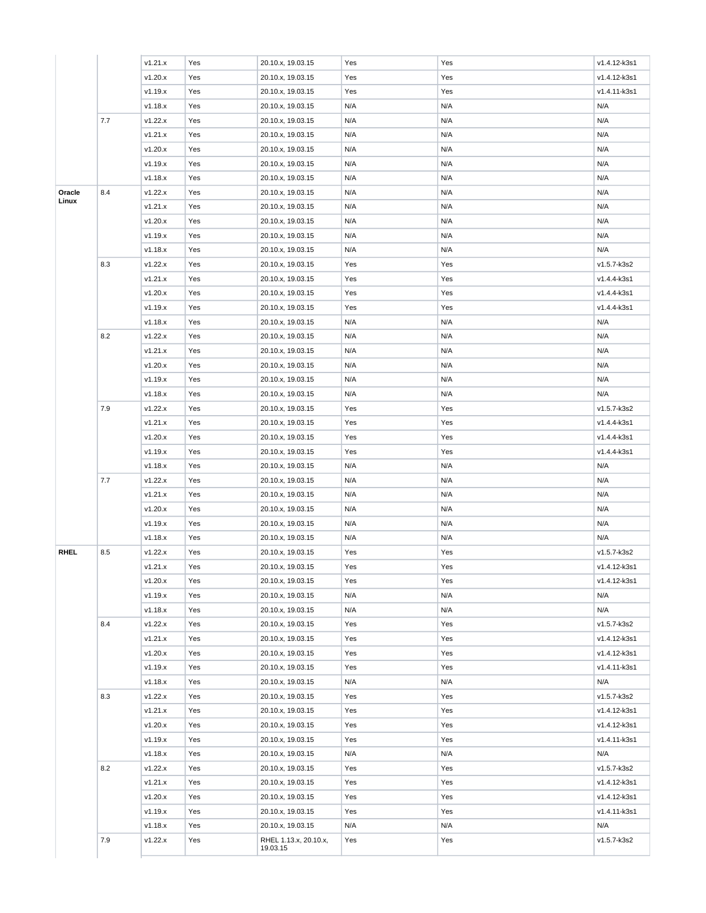|             |     | v1.21.x            | Yes        | 20.10.x, 19.03.15                 | Yes        | Yes        | v1.4.12-k3s1                |
|-------------|-----|--------------------|------------|-----------------------------------|------------|------------|-----------------------------|
|             |     | v1.20.x            | Yes        | 20.10.x, 19.03.15                 | Yes        | Yes        | v1.4.12-k3s1                |
|             |     | v1.19.x            | Yes        | 20.10.x, 19.03.15                 | Yes        | Yes        | v1.4.11-k3s1                |
|             |     | v1.18.x            | Yes        | 20.10.x, 19.03.15                 | N/A        | N/A        | N/A                         |
|             | 7.7 | v1.22.x            | Yes        | 20.10.x, 19.03.15                 | N/A        | N/A        | N/A                         |
|             |     | v1.21.x            | Yes        | 20.10.x, 19.03.15                 | N/A        | N/A        | N/A                         |
|             |     | v1.20.x            | Yes        | 20.10.x, 19.03.15                 | N/A        | N/A        | N/A                         |
|             |     | v1.19.x            | Yes        | 20.10.x, 19.03.15                 | N/A        | N/A        | N/A                         |
|             |     | v1.18.x            | Yes        | 20.10.x, 19.03.15                 | N/A        | N/A        | N/A                         |
| Oracle      | 8.4 | v1.22.x            | Yes        | 20.10.x, 19.03.15                 | N/A        | N/A        | N/A                         |
| Linux       |     | v1.21.x            | Yes        | 20.10.x, 19.03.15                 | N/A        | N/A        | N/A                         |
|             |     | v1.20.x            | Yes        | 20.10.x, 19.03.15                 | N/A        | N/A        | N/A                         |
|             |     | v1.19.x            | Yes        | 20.10.x, 19.03.15                 | N/A        | N/A        | N/A                         |
|             |     | v1.18.x            | Yes        | 20.10.x, 19.03.15                 | N/A        | N/A        | N/A                         |
|             | 8.3 | v1.22.x            | Yes        | 20.10.x, 19.03.15                 | Yes        | Yes        | v1.5.7-k3s2                 |
|             |     | v1.21.x            | Yes        | 20.10.x, 19.03.15                 | Yes        | Yes        | v1.4.4-k3s1                 |
|             |     | v1.20.x            | Yes        | 20.10.x, 19.03.15                 | Yes        | Yes        | v1.4.4-k3s1                 |
|             |     | v1.19.x            | Yes        | 20.10.x, 19.03.15                 | Yes        | Yes        | v1.4.4-k3s1                 |
|             |     | v1.18.x            | Yes        | 20.10.x, 19.03.15                 | N/A        | N/A        | N/A                         |
|             | 8.2 | v1.22.x            | Yes        | 20.10.x, 19.03.15                 | N/A        | N/A        | N/A                         |
|             |     | v1.21.x            | Yes        | 20.10.x, 19.03.15                 | N/A        | N/A        | N/A                         |
|             |     | v1.20.x            | Yes        | 20.10.x, 19.03.15                 | N/A        | N/A        | N/A                         |
|             |     | v1.19.x            | Yes        | 20.10.x, 19.03.15                 | N/A        | N/A        | N/A                         |
|             |     | v1.18.x            | Yes        | 20.10.x, 19.03.15                 | N/A        | N/A        | N/A                         |
|             | 7.9 | v1.22.x            | Yes        | 20.10.x, 19.03.15                 | Yes        | Yes        | v1.5.7-k3s2                 |
|             | 7.7 | v1.21.x            | Yes        | 20.10.x, 19.03.15                 | Yes        | Yes        | v1.4.4-k3s1                 |
|             |     | v1.20.x            | Yes        | 20.10.x, 19.03.15                 | Yes        | Yes        | v1.4.4-k3s1                 |
|             |     | v1.19.x            | Yes        | 20.10.x, 19.03.15                 | Yes        | Yes        | v1.4.4-k3s1                 |
|             |     | v1.18.x            | Yes        | 20.10.x, 19.03.15                 | N/A        | N/A        | N/A                         |
|             |     | v1.22.x            | Yes        | 20.10.x, 19.03.15                 | N/A        | N/A        | N/A                         |
|             |     | v1.21.x            | Yes        | 20.10.x, 19.03.15                 | N/A        | N/A        | N/A                         |
|             |     | v1.20.x            | Yes        | 20.10.x, 19.03.15                 | N/A        | N/A        | N/A                         |
|             |     | v1.19.x            | Yes        | 20.10.x, 19.03.15                 | N/A        | N/A        | N/A                         |
|             |     | v1.18.x            | Yes        | 20.10.x, 19.03.15                 | N/A        | N/A        | N/A                         |
| <b>RHEL</b> | 8.5 | v1.22.x            | Yes        | 20.10.x, 19.03.15                 | Yes        | Yes        | v1.5.7-k3s2                 |
|             |     | v1.21.x            | Yes        | 20.10.x, 19.03.15                 | Yes        | Yes        | v1.4.12-k3s1                |
|             |     | v1.20.x            | Yes        | 20.10.x, 19.03.15                 | Yes        | Yes        | v1.4.12-k3s1                |
|             |     |                    |            |                                   | N/A        | N/A        |                             |
|             |     | v1.19.x            | Yes        | 20.10.x, 19.03.15                 |            |            | N/A                         |
|             |     | v1.18.x            | Yes        | 20.10.x, 19.03.15                 | N/A        | N/A        | N/A                         |
|             | 8.4 | v1.22.x<br>v1.21.x | Yes<br>Yes | 20.10.x, 19.03.15                 | Yes<br>Yes | Yes<br>Yes | v1.5.7-k3s2<br>v1.4.12-k3s1 |
|             |     |                    |            | 20.10.x, 19.03.15                 |            |            | v1.4.12-k3s1                |
|             |     | v1.20.x            | Yes        | 20.10.x, 19.03.15                 | Yes        | Yes        | v1.4.11-k3s1                |
|             |     | v1.19.x            | Yes        | 20.10.x, 19.03.15                 | Yes        | Yes        |                             |
|             |     | v1.18.x            | Yes        | 20.10.x, 19.03.15                 | N/A        | N/A        | N/A                         |
|             | 8.3 | v1.22.x            | Yes        | 20.10.x, 19.03.15                 | Yes        | Yes        | v1.5.7-k3s2                 |
|             |     | v1.21.x            | Yes        | 20.10.x, 19.03.15                 | Yes        | Yes        | v1.4.12-k3s1                |
|             |     | v1.20.x            | Yes        | 20.10.x, 19.03.15                 | Yes        | Yes        | v1.4.12-k3s1                |
|             |     | v1.19.x            | Yes        | 20.10.x, 19.03.15                 | Yes        | Yes        | v1.4.11-k3s1                |
|             |     | v1.18.x            | Yes        | 20.10.x, 19.03.15                 | N/A        | N/A        | N/A                         |
|             | 8.2 | v1.22.x            | Yes        | 20.10.x, 19.03.15                 | Yes        | Yes        | v1.5.7-k3s2                 |
|             |     | v1.21.x            | Yes        | 20.10.x, 19.03.15                 | Yes        | Yes        | v1.4.12-k3s1                |
|             |     | v1.20.x            | Yes        | 20.10.x, 19.03.15                 | Yes        | Yes        | v1.4.12-k3s1                |
|             |     | v1.19.x            | Yes        | 20.10.x, 19.03.15                 | Yes        | Yes        | v1.4.11-k3s1                |
|             |     | v1.18.x            | Yes        | 20.10.x, 19.03.15                 | N/A        | N/A        | N/A                         |
|             | 7.9 | v1.22.x            | Yes        | RHEL 1.13.x, 20.10.x,<br>19.03.15 | Yes        | Yes        | v1.5.7-k3s2                 |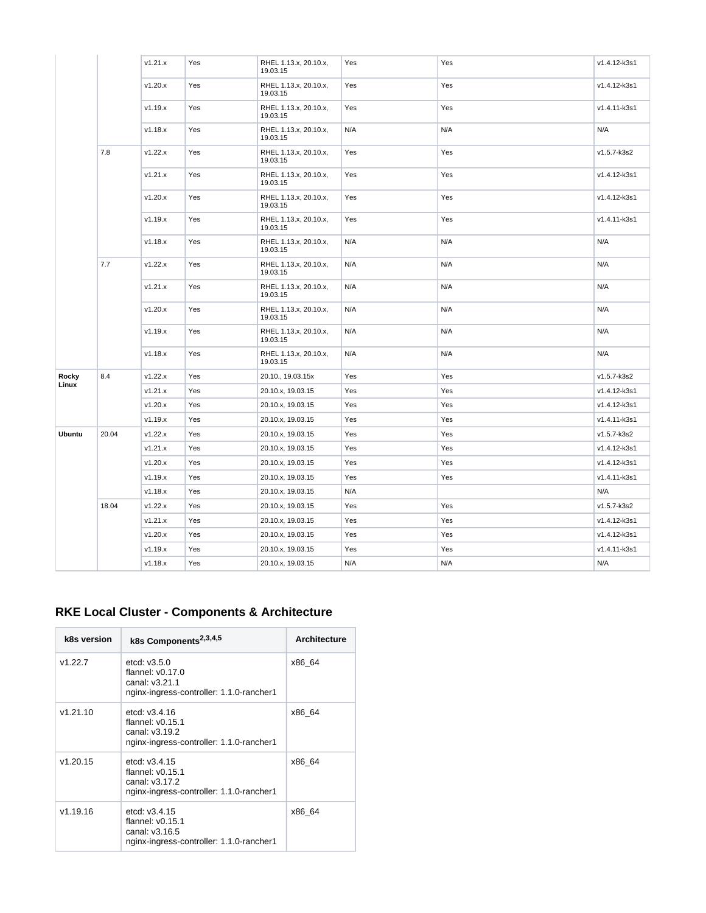|        |       | v1.21.x | Yes | RHEL 1.13.x, 20.10.x,<br>19.03.15 | Yes | Yes | v1.4.12-k3s1 |
|--------|-------|---------|-----|-----------------------------------|-----|-----|--------------|
|        |       | v1.20.x | Yes | RHEL 1.13.x, 20.10.x,<br>19.03.15 | Yes | Yes | v1.4.12-k3s1 |
|        |       | v1.19.x | Yes | RHEL 1.13.x, 20.10.x,<br>19.03.15 | Yes | Yes | v1.4.11-k3s1 |
|        |       | v1.18.x | Yes | RHEL 1.13.x, 20.10.x,<br>19.03.15 | N/A | N/A | N/A          |
|        | 7.8   | v1.22.x | Yes | RHEL 1.13.x, 20.10.x,<br>19.03.15 | Yes | Yes | v1.5.7-k3s2  |
|        |       | v1.21.x | Yes | RHEL 1.13.x, 20.10.x,<br>19.03.15 | Yes | Yes | v1.4.12-k3s1 |
|        |       | v1.20.x | Yes | RHEL 1.13.x, 20.10.x,<br>19.03.15 | Yes | Yes | v1.4.12-k3s1 |
|        |       | v1.19.x | Yes | RHEL 1.13.x, 20.10.x,<br>19.03.15 | Yes | Yes | v1.4.11-k3s1 |
|        |       | v1.18.x | Yes | RHEL 1.13.x, 20.10.x,<br>19.03.15 | N/A | N/A | N/A          |
|        | 7.7   | v1.22.x | Yes | RHEL 1.13.x, 20.10.x,<br>19.03.15 | N/A | N/A | N/A          |
|        |       | v1.21.x | Yes | RHEL 1.13.x, 20.10.x,<br>19.03.15 | N/A | N/A | N/A          |
|        |       | v1.20.x | Yes | RHEL 1.13.x, 20.10.x,<br>19.03.15 | N/A | N/A | N/A          |
|        |       | v1.19.x | Yes | RHEL 1.13.x, 20.10.x,<br>19.03.15 | N/A | N/A | N/A          |
|        |       | v1.18.x | Yes | RHEL 1.13.x, 20.10.x,<br>19.03.15 | N/A | N/A | N/A          |
| Rocky  | 8.4   | v1.22.x | Yes | 20.10., 19.03.15x                 | Yes | Yes | v1.5.7-k3s2  |
| Linux  |       | v1.21.x | Yes | 20.10.x, 19.03.15                 | Yes | Yes | v1.4.12-k3s1 |
|        |       | v1.20.x | Yes | 20.10.x, 19.03.15                 | Yes | Yes | v1.4.12-k3s1 |
|        |       | v1.19.x | Yes | 20.10.x, 19.03.15                 | Yes | Yes | v1.4.11-k3s1 |
| Ubuntu | 20.04 | v1.22.x | Yes | 20.10.x, 19.03.15                 | Yes | Yes | v1.5.7-k3s2  |
|        |       | v1.21.x | Yes | 20.10.x, 19.03.15                 | Yes | Yes | v1.4.12-k3s1 |
|        |       | v1.20.x | Yes | 20.10.x, 19.03.15                 | Yes | Yes | v1.4.12-k3s1 |
|        |       | v1.19.x | Yes | 20.10.x, 19.03.15                 | Yes | Yes | v1.4.11-k3s1 |
|        |       | v1.18.x | Yes | 20.10.x, 19.03.15                 | N/A |     | N/A          |
|        | 18.04 | v1.22.x | Yes | 20.10.x, 19.03.15                 | Yes | Yes | v1.5.7-k3s2  |
|        |       | v1.21.x | Yes | 20.10.x, 19.03.15                 | Yes | Yes | v1.4.12-k3s1 |
|        |       | v1.20.x | Yes | 20.10.x, 19.03.15                 | Yes | Yes | v1.4.12-k3s1 |
|        |       | v1.19.x | Yes | 20.10.x, 19.03.15                 | Yes | Yes | v1.4.11-k3s1 |
|        |       | v1.18.x | Yes | 20.10.x, 19.03.15                 | N/A | N/A | N/A          |
|        |       |         |     |                                   |     |     |              |

### **RKE Local Cluster - Components & Architecture**

| k8s version | k8s Components <sup>2,3,4,5</sup>                                                                  | <b>Architecture</b> |
|-------------|----------------------------------------------------------------------------------------------------|---------------------|
| v1.22.7     | etcd: $v3.5.0$<br>flannel: $v0.17.0$<br>canal: v3.21.1<br>nginx-ingress-controller: 1.1.0-rancher1 | x86 64              |
| v1.21.10    | etcd: v3.4.16<br>flannel: $v0.15.1$<br>canal: v3.19.2<br>nginx-ingress-controller: 1.1.0-rancher1  | x86 64              |
| v1.20.15    | etcd: v3.4.15<br>flannel: $v0.15.1$<br>canal: v3.17.2<br>nginx-ingress-controller: 1.1.0-rancher1  | x86 64              |
| v1.19.16    | etcd: v3.4.15<br>flannel: $v0.15.1$<br>canal: v3.16.5<br>nginx-ingress-controller: 1.1.0-rancher1  | x86 64              |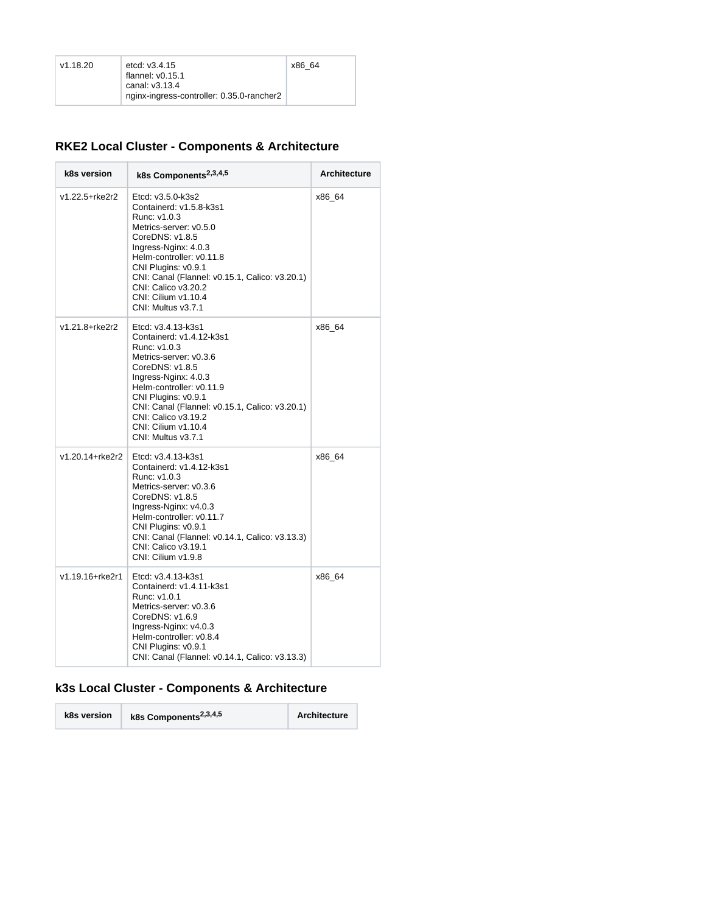| v1.18.20 | etcd: $v3.4.15$                           | x86 64 |
|----------|-------------------------------------------|--------|
|          | flannel: $v0.15.1$                        |        |
|          | canal: v3.13.4                            |        |
|          | nginx-ingress-controller: 0.35.0-rancher2 |        |

### **RKE2 Local Cluster - Components & Architecture**

| k8s version     | k8s Components <sup>2,3,4,5</sup>                                                                                                                                                                                                                                                                            | <b>Architecture</b> |
|-----------------|--------------------------------------------------------------------------------------------------------------------------------------------------------------------------------------------------------------------------------------------------------------------------------------------------------------|---------------------|
| v1.22.5+rke2r2  | Etcd: v3.5.0-k3s2<br>Containerd: v1.5.8-k3s1<br>Runc: v1.0.3<br>Metrics-server: v0.5.0<br>CoreDNS: v1.8.5<br>Ingress-Nginx: 4.0.3<br>Helm-controller: v0.11.8<br>CNI Plugins: v0.9.1<br>CNI: Canal (Flannel: v0.15.1, Calico: v3.20.1)<br>CNI: Calico v3.20.2<br>CNI: Cilium v1.10.4<br>CNI: Multus v3.7.1   | x86_64              |
| v1.21.8+rke2r2  | Etcd: v3.4.13-k3s1<br>Containerd: v1.4.12-k3s1<br>Runc: v1.0.3<br>Metrics-server: v0.3.6<br>CoreDNS: v1.8.5<br>Ingress-Nginx: 4.0.3<br>Helm-controller: v0.11.9<br>CNI Plugins: v0.9.1<br>CNI: Canal (Flannel: v0.15.1, Calico: v3.20.1)<br>CNI: Calico v3.19.2<br>CNI: Cilium v1.10.4<br>CNI: Multus v3.7.1 | x86 64              |
| v1.20.14+rke2r2 | Etcd: v3.4.13-k3s1<br>Containerd: v1.4.12-k3s1<br>Runc: v1.0.3<br>Metrics-server: v0.3.6<br>CoreDNS: v1.8.5<br>Ingress-Nginx: v4.0.3<br>Helm-controller: v0.11.7<br>CNI Plugins: v0.9.1<br>CNI: Canal (Flannel: v0.14.1, Calico: v3.13.3)<br>CNI: Calico v3.19.1<br>CNI: Cilium v1.9.8                       | x86 64              |
| v1.19.16+rke2r1 | Etcd: v3.4.13-k3s1<br>Containerd: v1.4.11-k3s1<br>Runc: v1.0.1<br>Metrics-server: v0.3.6<br>CoreDNS: v1.6.9<br>Ingress-Nginx: v4.0.3<br>Helm-controller: v0.8.4<br>CNI Plugins: v0.9.1<br>CNI: Canal (Flannel: v0.14.1, Calico: v3.13.3)                                                                     | x86_64              |

## **k3s Local Cluster - Components & Architecture**

| k8s version | k8s Components <sup>2,3,4,5</sup> | Architecture |
|-------------|-----------------------------------|--------------|
|-------------|-----------------------------------|--------------|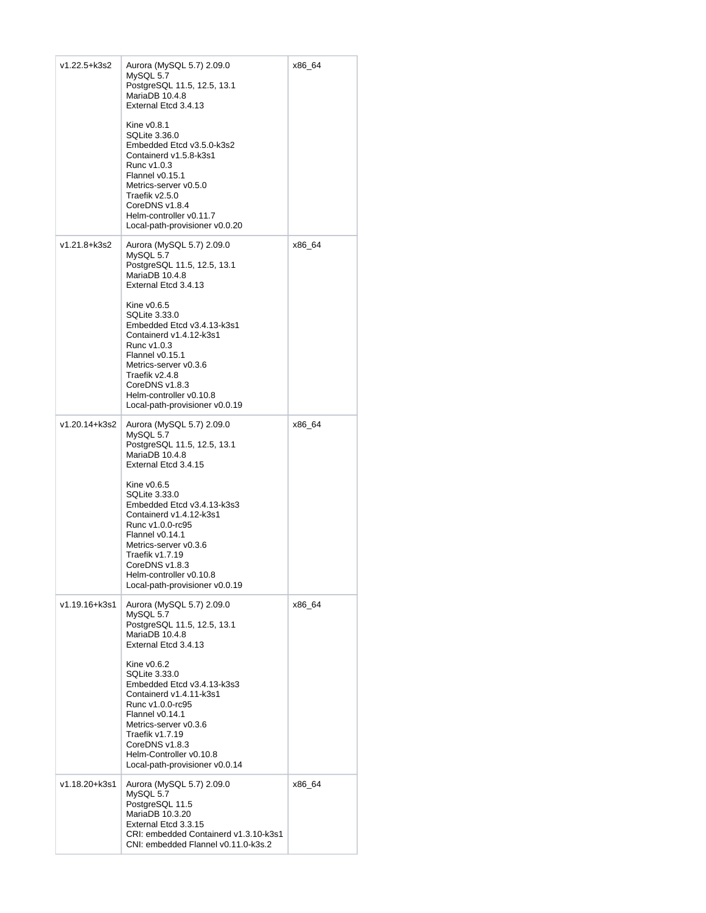| v1.22.5+k3s2  | Aurora (MySQL 5.7) 2.09.0<br>MySQL 5.7<br>PostgreSQL 11.5, 12.5, 13.1<br>MariaDB 10.4.8<br>External Etcd 3.4.13<br>Kine v0.8.1<br>SQLite 3.36.0<br>Embedded Etcd v3.5.0-k3s2<br>Containerd v1.5.8-k3s1<br>Runc v1.0.3<br>Flannel v0.15.1<br>Metrics-server v0.5.0<br>Traefik v2.5.0<br>CoreDNS v1.8.4<br>Helm-controller v0.11.7<br>Local-path-provisioner v0.0.20           | x86_64 |
|---------------|------------------------------------------------------------------------------------------------------------------------------------------------------------------------------------------------------------------------------------------------------------------------------------------------------------------------------------------------------------------------------|--------|
| v1.21.8+k3s2  | Aurora (MySQL 5.7) 2.09.0<br>MySQL 5.7<br>PostgreSQL 11.5, 12.5, 13.1<br>MariaDB 10.4.8<br>External Etcd 3.4.13<br>Kine v0.6.5<br>SQLite 3.33.0<br>Embedded Etcd v3.4.13-k3s1<br>Containerd v1.4.12-k3s1<br>Runc v1.0.3<br>Flannel v0.15.1<br>Metrics-server v0.3.6<br>Traefik v2.4.8<br>CoreDNS v1.8.3<br>Helm-controller v0.10.8<br>Local-path-provisioner v0.0.19         | x86_64 |
| v1.20.14+k3s2 | Aurora (MySQL 5.7) 2.09.0<br>MySQL 5.7<br>PostgreSQL 11.5, 12.5, 13.1<br>MariaDB 10.4.8<br>External Etcd 3.4.15<br>Kine $v0.6.5$<br>SQLite 3.33.0<br>Embedded Etcd v3.4.13-k3s3<br>Containerd v1.4.12-k3s1<br>Runc v1.0.0-rc95<br>Flannel v0.14.1<br>Metrics-server v0.3.6<br>Traefik v1.7.19<br>CoreDNS v1.8.3<br>Helm-controller v0.10.8<br>Local-path-provisioner v0.0.19 | x86_64 |
| v1.19.16+k3s1 | Aurora (MySQL 5.7) 2.09.0<br>MySQL 5.7<br>PostgreSQL 11.5, 12.5, 13.1<br>MariaDB 10.4.8<br>External Etcd 3.4.13<br>Kine $v0.6.2$<br>SQLite 3.33.0<br>Embedded Etcd v3.4.13-k3s3<br>Containerd v1.4.11-k3s1<br>Runc v1.0.0-rc95<br>Flannel v0.14.1<br>Metrics-server v0.3.6<br>Traefik v1.7.19<br>CoreDNS v1.8.3<br>Helm-Controller v0.10.8<br>Local-path-provisioner v0.0.14 | x86_64 |
| v1.18.20+k3s1 | Aurora (MySQL 5.7) 2.09.0<br>MySQL 5.7<br>PostgreSQL 11.5<br>MariaDB 10.3.20<br>External Etcd 3.3.15<br>CRI: embedded Containerd v1.3.10-k3s1<br>CNI: embedded Flannel v0.11.0-k3s.2                                                                                                                                                                                         | x86_64 |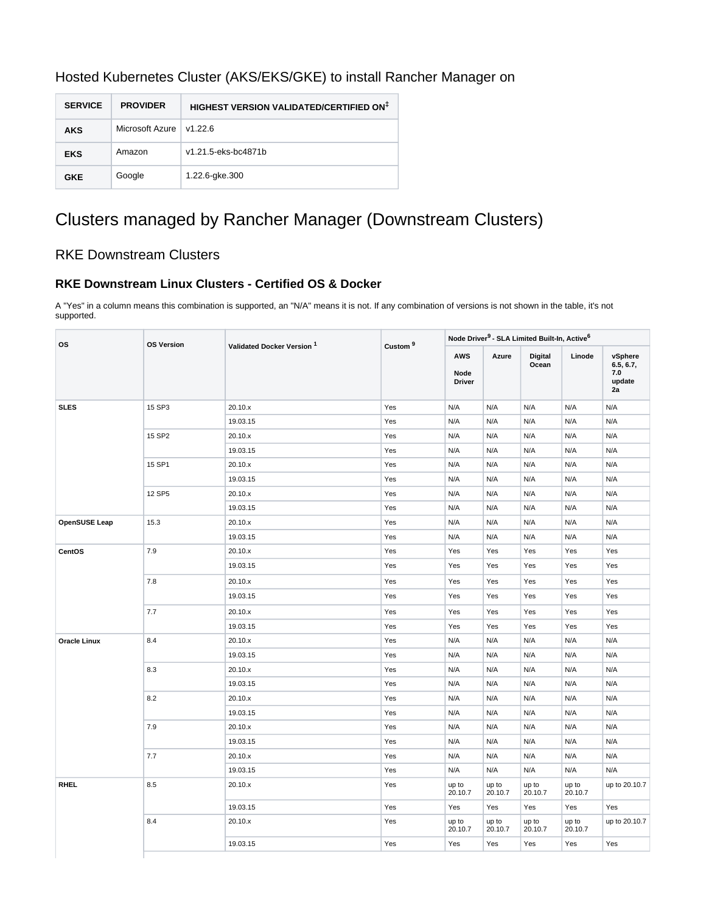| Hosted Kubernetes Cluster (AKS/EKS/GKE) to install Rancher Manager on |  |  |
|-----------------------------------------------------------------------|--|--|
|                                                                       |  |  |

| <b>SERVICE</b> | <b>PROVIDER</b> | HIGHEST VERSION VALIDATED/CERTIFIED ON <sup>‡</sup> |
|----------------|-----------------|-----------------------------------------------------|
| <b>AKS</b>     | Microsoft Azure | v1.226                                              |
| <b>EKS</b>     | Amazon          | v1.21.5-eks-bc4871b                                 |
| <b>GKE</b>     | Google          | 1.22.6-gke.300                                      |

# Clusters managed by Rancher Manager (Downstream Clusters)

### RKE Downstream Clusters

#### **RKE Downstream Linux Clusters - Certified OS & Docker**

A "Yes" in a column means this combination is supported, an "N/A" means it is not. If any combination of versions is not shown in the table, it's not supported.

| <b>OS</b>            | <b>OS Version</b> | Validated Docker Version <sup>1</sup> | Custom <sup>9</sup> | Node Driver <sup>9</sup> - SLA Limited Built-In, Active <sup>6</sup> |                  |                         |                  |                                             |
|----------------------|-------------------|---------------------------------------|---------------------|----------------------------------------------------------------------|------------------|-------------------------|------------------|---------------------------------------------|
|                      |                   |                                       |                     | <b>AWS</b><br>Node<br><b>Driver</b>                                  | Azure            | <b>Digital</b><br>Ocean | Linode           | vSphere<br>6.5, 6.7,<br>7.0<br>update<br>2a |
| <b>SLES</b>          | 15 SP3            | 20.10.x                               | Yes                 | N/A                                                                  | N/A              | N/A                     | N/A              | N/A                                         |
|                      |                   | 19.03.15                              | Yes                 | N/A                                                                  | N/A              | N/A                     | N/A              | N/A                                         |
|                      | 15 SP2            | 20.10.x                               | Yes                 | N/A                                                                  | N/A              | N/A                     | N/A              | N/A                                         |
|                      |                   | 19.03.15                              | Yes                 | N/A                                                                  | N/A              | N/A                     | N/A              | N/A                                         |
|                      | 15 SP1            | 20.10.x                               | Yes                 | N/A                                                                  | N/A              | N/A                     | N/A              | N/A                                         |
|                      |                   | 19.03.15                              | Yes                 | N/A                                                                  | N/A              | N/A                     | N/A              | N/A                                         |
|                      | 12 SP5            | 20.10.x                               | Yes                 | N/A                                                                  | N/A              | N/A                     | N/A              | N/A                                         |
|                      |                   | 19.03.15                              | Yes                 | N/A                                                                  | N/A              | N/A                     | N/A              | N/A                                         |
| <b>OpenSUSE Leap</b> | 15.3              | 20.10.x                               | Yes                 | N/A                                                                  | N/A              | N/A                     | N/A              | N/A                                         |
|                      |                   | 19.03.15                              | Yes                 | N/A                                                                  | N/A              | N/A                     | N/A              | N/A                                         |
| CentOS               | 7.9               | 20.10.x                               | Yes                 | Yes                                                                  | Yes              | Yes                     | Yes              | Yes                                         |
|                      |                   | 19.03.15                              | Yes                 | Yes                                                                  | Yes              | Yes                     | Yes              | Yes                                         |
|                      | 7.8               | 20.10.x                               | Yes                 | Yes                                                                  | Yes              | Yes                     | Yes              | Yes                                         |
|                      |                   | 19.03.15                              | Yes                 | Yes                                                                  | Yes              | Yes                     | Yes              | Yes                                         |
|                      | 7.7               | 20.10.x                               | Yes                 | Yes                                                                  | Yes              | Yes                     | Yes              | Yes                                         |
|                      |                   | 19.03.15                              | Yes                 | Yes                                                                  | Yes              | Yes                     | Yes              | Yes                                         |
| <b>Oracle Linux</b>  | 8.4               | 20.10.x                               | Yes                 | N/A                                                                  | N/A              | N/A                     | N/A              | N/A                                         |
|                      |                   | 19.03.15                              | Yes                 | N/A                                                                  | N/A              | N/A                     | N/A              | N/A                                         |
|                      | 8.3               | 20.10.x                               | Yes                 | N/A                                                                  | N/A              | N/A                     | N/A              | N/A                                         |
|                      |                   | 19.03.15                              | Yes                 | N/A                                                                  | N/A              | N/A                     | N/A              | N/A                                         |
|                      | 8.2               | 20.10.x                               | Yes                 | N/A                                                                  | N/A              | N/A                     | N/A              | N/A                                         |
|                      |                   | 19.03.15                              | Yes                 | N/A                                                                  | N/A              | N/A                     | N/A              | N/A                                         |
|                      | 7.9               | 20.10.x                               | Yes                 | N/A                                                                  | N/A              | N/A                     | N/A              | N/A                                         |
|                      |                   | 19.03.15                              | Yes                 | N/A                                                                  | N/A              | N/A                     | N/A              | N/A                                         |
|                      | 7.7               | 20.10.x                               | Yes                 | N/A                                                                  | N/A              | N/A                     | N/A              | N/A                                         |
|                      |                   | 19.03.15                              | Yes                 | N/A                                                                  | N/A              | N/A                     | N/A              | N/A                                         |
| <b>RHEL</b>          | 8.5               | 20.10.x                               | Yes                 | up to<br>20.10.7                                                     | up to<br>20.10.7 | up to<br>20.10.7        | up to<br>20.10.7 | up to 20.10.7                               |
|                      |                   | 19.03.15                              | Yes                 | Yes                                                                  | Yes              | Yes                     | Yes              | Yes                                         |
|                      | 8.4               | 20.10.x                               | Yes                 | up to<br>20.10.7                                                     | up to<br>20.10.7 | up to<br>20.10.7        | up to<br>20.10.7 | up to 20.10.7                               |
|                      |                   | 19.03.15                              | Yes                 | Yes                                                                  | Yes              | Yes                     | Yes              | Yes                                         |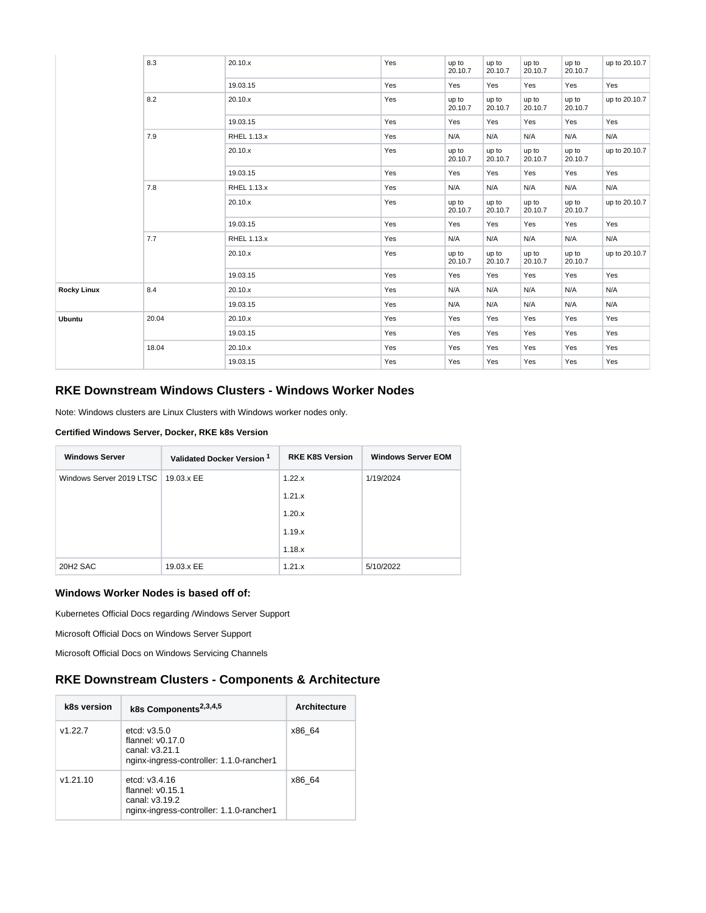|                    | 8.3   | 20.10.x     | Yes | up to<br>20.10.7 | up to<br>20.10.7 | up to<br>20.10.7 | up to<br>20.10.7 | up to 20.10.7 |
|--------------------|-------|-------------|-----|------------------|------------------|------------------|------------------|---------------|
|                    |       | 19.03.15    | Yes | Yes              | Yes              | Yes              | Yes              | Yes           |
|                    | 8.2   | 20.10.x     | Yes | up to<br>20.10.7 | up to<br>20.10.7 | up to<br>20.10.7 | up to<br>20.10.7 | up to 20.10.7 |
|                    |       | 19.03.15    | Yes | Yes              | Yes              | Yes              | Yes              | Yes           |
|                    | 7.9   | RHEL 1.13.x | Yes | N/A              | N/A              | N/A              | N/A              | N/A           |
|                    |       | 20.10.x     | Yes | up to<br>20.10.7 | up to<br>20.10.7 | up to<br>20.10.7 | up to<br>20.10.7 | up to 20.10.7 |
|                    |       | 19.03.15    | Yes | Yes              | Yes              | Yes              | Yes              | Yes           |
|                    | 7.8   | RHEL 1.13.x | Yes | N/A              | N/A              | N/A              | N/A              | N/A           |
|                    |       | 20.10.x     | Yes | up to<br>20.10.7 | up to<br>20.10.7 | up to<br>20.10.7 | up to<br>20.10.7 | up to 20.10.7 |
|                    |       | 19.03.15    | Yes | Yes              | Yes              | Yes              | Yes              | Yes           |
|                    | 7.7   | RHEL 1.13.x | Yes | N/A              | N/A              | N/A              | N/A              | N/A           |
|                    |       | 20.10.x     | Yes | up to<br>20.10.7 | up to<br>20.10.7 | up to<br>20.10.7 | up to<br>20.10.7 | up to 20.10.7 |
|                    |       | 19.03.15    | Yes | Yes              | Yes              | Yes              | Yes              | Yes           |
| <b>Rocky Linux</b> | 8.4   | 20.10.x     | Yes | N/A              | N/A              | N/A              | N/A              | N/A           |
|                    |       | 19.03.15    | Yes | N/A              | N/A              | N/A              | N/A              | N/A           |
| <b>Ubuntu</b>      | 20.04 | 20.10.x     | Yes | Yes              | Yes              | Yes              | Yes              | Yes           |
|                    |       | 19.03.15    | Yes | Yes              | Yes              | Yes              | Yes              | Yes           |
|                    | 18.04 | 20.10.x     | Yes | Yes              | Yes              | Yes              | Yes              | Yes           |
|                    |       | 19.03.15    | Yes | Yes              | Yes              | Yes              | Yes              | Yes           |

#### **RKE Downstream Windows Clusters - Windows Worker Nodes**

Note: Windows clusters are Linux Clusters with Windows worker nodes only.

#### **Certified Windows Server, Docker, RKE k8s Version**

| <b>Windows Server</b>    | Validated Docker Version 1 | <b>RKE K8S Version</b> | <b>Windows Server EOM</b> |
|--------------------------|----------------------------|------------------------|---------------------------|
| Windows Server 2019 LTSC | 19.03.x EE                 | 1.22.x                 | 1/19/2024                 |
|                          |                            | 1.21.x                 |                           |
|                          |                            | 1.20.x                 |                           |
|                          |                            | 1.19.x                 |                           |
|                          |                            | 1.18.x                 |                           |
| 20H <sub>2</sub> SAC     | 19.03.x EE                 | 1.21.x                 | 5/10/2022                 |

#### **Windows Worker Nodes is based off of:**

[Kubernetes Official Docs regarding /Windows Server Support](https://kubernetes.io/docs/setup/production-environment/windows/intro-windows-in-kubernetes/#windows-os-version-support)

[Microsoft Official Docs on Windows Server Support](https://docs.microsoft.com/en-us/windows-server/get-started/windows-server-release-info)

[Microsoft Official Docs on Windows Servicing Channels](https://docs.microsoft.com/en-us/windows-server/get-started-19/servicing-channels-19)

#### **RKE Downstream Clusters - Components & Architecture**

| k8s version | k8s Components <sup>2,3,4,5</sup>                                                                   | <b>Architecture</b> |
|-------------|-----------------------------------------------------------------------------------------------------|---------------------|
| v1.22.7     | etcd: $v3.5.0$<br>flannel: $v0.17.0$<br>canal: v3.21.1<br>nginx-ingress-controller: 1.1.0-rancher1  | x86 64              |
| v1.21.10    | etcd: $v3.4.16$<br>flannel: $v0.15.1$<br>canal: v3.19.2<br>nginx-ingress-controller: 1.1.0-rancher1 | x86 64              |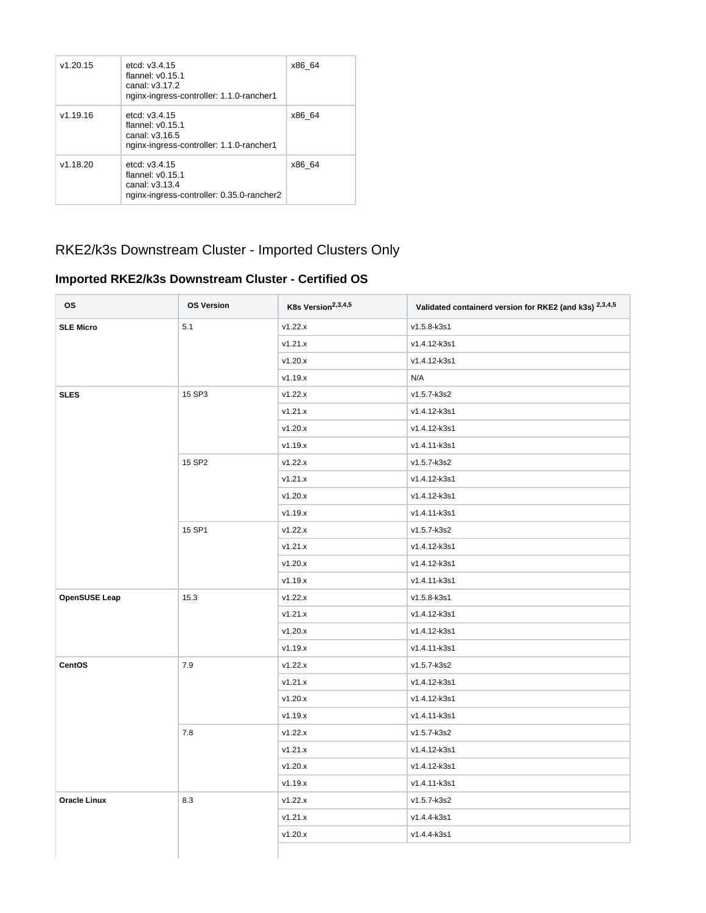| v1.20.15 | etcd: $v3.4.15$<br>flannel: $v0.15.1$<br>canal: v3.17.2<br>nginx-ingress-controller: 1.1.0-rancher1  | x86 64 |
|----------|------------------------------------------------------------------------------------------------------|--------|
| v1.19.16 | etcd: $v3.4.15$<br>flannel: $v0.15.1$<br>canal: v3.16.5<br>nginx-ingress-controller: 1.1.0-rancher1  | x86 64 |
| v1.18.20 | etcd: $v3.4.15$<br>flannel: $v0.15.1$<br>canal: v3.13.4<br>nginx-ingress-controller: 0.35.0-rancher2 | x86 64 |

## RKE2/k3s Downstream Cluster - Imported Clusters Only

#### **Imported RKE2/k3s Downstream Cluster - Certified OS**

| <b>OS</b>            | <b>OS Version</b> | K8s Version <sup>2,3,4,5</sup> | Validated containerd version for RKE2 (and k3s) 2,3,4,5 |
|----------------------|-------------------|--------------------------------|---------------------------------------------------------|
| <b>SLE Micro</b>     | 5.1               | v1.22.x                        | v1.5.8-k3s1                                             |
|                      |                   | v1.21.x                        | v1.4.12-k3s1                                            |
|                      |                   | v1.20.x                        | v1.4.12-k3s1                                            |
|                      |                   | v1.19.x                        | N/A                                                     |
| <b>SLES</b>          | 15 SP3            | v1.22.x                        | v1.5.7-k3s2                                             |
|                      |                   | v1.21.x                        | v1.4.12-k3s1                                            |
|                      |                   | v1.20.x                        | v1.4.12-k3s1                                            |
|                      |                   | v1.19.x                        | v1.4.11-k3s1                                            |
|                      | 15 SP2            | v1.22.x                        | v1.5.7-k3s2                                             |
|                      |                   | v1.21.x                        | v1.4.12-k3s1                                            |
|                      |                   | v1.20.x                        | v1.4.12-k3s1                                            |
|                      |                   | v1.19.x                        | v1.4.11-k3s1                                            |
|                      | 15 SP1            | v1.22.x                        | v1.5.7-k3s2                                             |
|                      |                   | v1.21.x                        | v1.4.12-k3s1                                            |
|                      |                   | v1.20.x                        | v1.4.12-k3s1                                            |
|                      |                   | v1.19.x                        | v1.4.11-k3s1                                            |
| <b>OpenSUSE Leap</b> | 15.3              | v1.22.x                        | v1.5.8-k3s1                                             |
|                      |                   | v1.21.x                        | v1.4.12-k3s1                                            |
|                      |                   | v1.20.x                        | v1.4.12-k3s1                                            |
|                      |                   | v1.19.x                        | v1.4.11-k3s1                                            |
| CentOS               | 7.9               | v1.22.x                        | v1.5.7-k3s2                                             |
|                      |                   | v1.21.x                        | v1.4.12-k3s1                                            |
|                      |                   | v1.20.x                        | v1.4.12-k3s1                                            |
|                      |                   | v1.19.x                        | v1.4.11-k3s1                                            |
|                      | 7.8               | v1.22.x                        | v1.5.7-k3s2                                             |
|                      |                   | v1.21.x                        | v1.4.12-k3s1                                            |
|                      |                   | v1.20.x                        | v1.4.12-k3s1                                            |
|                      |                   | v1.19.x                        | v1.4.11-k3s1                                            |
| <b>Oracle Linux</b>  | 8.3               | v1.22.x                        | v1.5.7-k3s2                                             |
|                      |                   | v1.21.x                        | v1.4.4-k3s1                                             |
|                      |                   | v1.20.x                        | v1.4.4-k3s1                                             |
|                      |                   |                                |                                                         |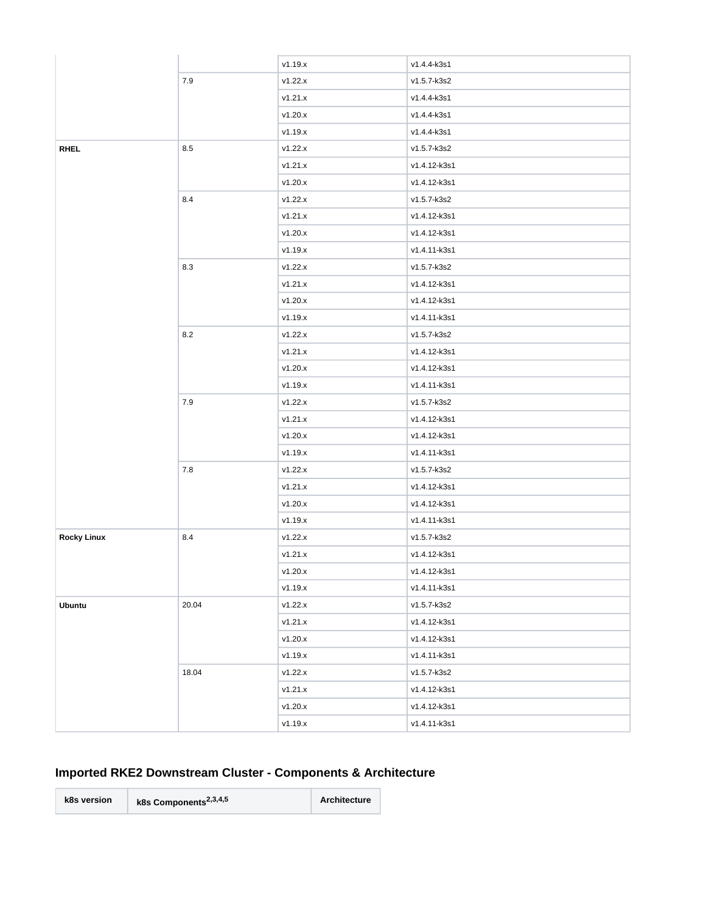|                    |       | v1.19.x   | v1.4.4-k3s1  |
|--------------------|-------|-----------|--------------|
|                    | $7.9$ | v1.22.x   | v1.5.7-k3s2  |
|                    |       | v1.21.x   | v1.4.4-k3s1  |
|                    |       | v1.20.x   | v1.4.4-k3s1  |
|                    |       | v1.19.x   | v1.4.4-k3s1  |
| <b>RHEL</b>        | 8.5   | v1.22.x   | v1.5.7-k3s2  |
|                    |       | v1.21.x   | v1.4.12-k3s1 |
|                    |       | v1.20.x   | v1.4.12-k3s1 |
|                    | 8.4   | v1.22.x   | v1.5.7-k3s2  |
|                    |       | v1.21.x   | v1.4.12-k3s1 |
|                    |       | v1.20.x   | v1.4.12-k3s1 |
|                    |       | v1.19.x   | v1.4.11-k3s1 |
|                    | 8.3   | v1.22.x   | v1.5.7-k3s2  |
|                    |       | v1.21.x   | v1.4.12-k3s1 |
|                    |       | v1.20.x   | v1.4.12-k3s1 |
|                    |       | v1.19.x   | v1.4.11-k3s1 |
|                    | 8.2   | v1.22.x   | v1.5.7-k3s2  |
|                    |       | v1.21.x   | v1.4.12-k3s1 |
|                    |       | v1.20.x   | v1.4.12-k3s1 |
|                    |       | v1.19.x   | v1.4.11-k3s1 |
|                    | 7.9   | v1.22.x   | v1.5.7-k3s2  |
|                    |       | v1.21.x   | v1.4.12-k3s1 |
|                    |       | v1.20.x   | v1.4.12-k3s1 |
|                    |       | v1.19.x   | v1.4.11-k3s1 |
|                    | 7.8   | v1.22.x   | v1.5.7-k3s2  |
|                    |       | v1.21.x   | v1.4.12-k3s1 |
|                    |       | v1.20.x   | v1.4.12-k3s1 |
|                    |       | v1.19.x   | v1.4.11-k3s1 |
| <b>Rocky Linux</b> | 8.4   | v1.22.x   | v1.5.7-k3s2  |
|                    |       | v1.21.x   | v1.4.12-k3s1 |
|                    |       | $v1.20.x$ | v1.4.12-k3s1 |
|                    |       | v1.19.x   | v1.4.11-k3s1 |
| <b>Ubuntu</b>      | 20.04 | v1.22.x   | v1.5.7-k3s2  |
|                    |       | v1.21.x   | v1.4.12-k3s1 |
|                    |       | v1.20.x   | v1.4.12-k3s1 |
|                    |       | v1.19.x   | v1.4.11-k3s1 |
|                    | 18.04 | v1.22.x   | v1.5.7-k3s2  |
|                    |       | v1.21.x   | v1.4.12-k3s1 |
|                    |       | v1.20.x   | v1.4.12-k3s1 |
|                    |       | v1.19.x   | v1.4.11-k3s1 |

### **Imported RKE2 Downstream Cluster - Components & Architecture**

**k8s version k8s Components2,3,4,5 Architecture**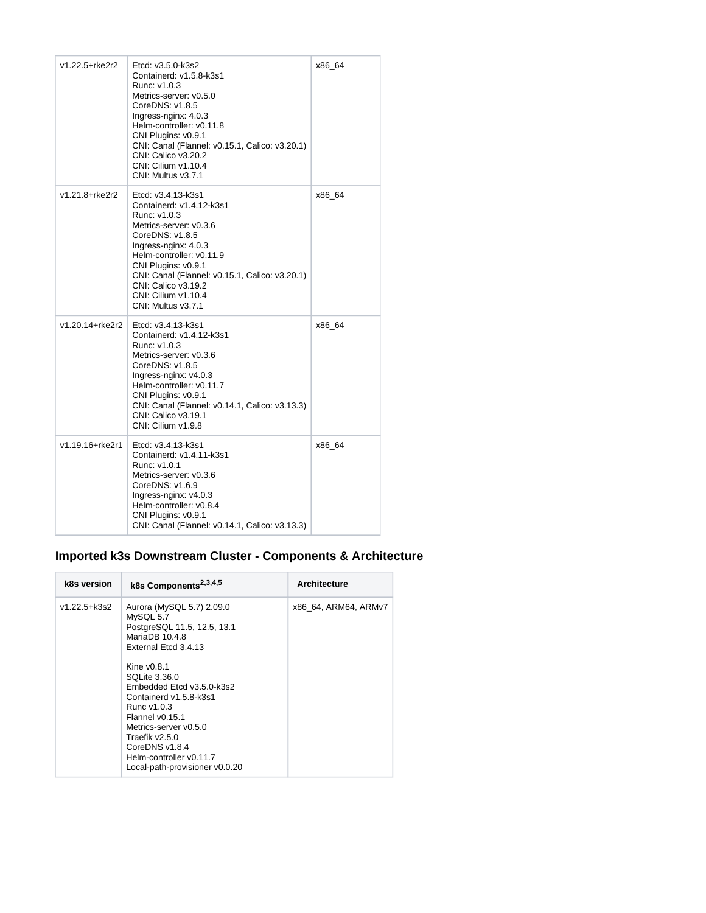| v1.22.5+rke2r2  | Etcd: v3.5.0-k3s2<br>Containerd: v1.5.8-k3s1<br>Runc: v1.0.3<br>Metrics-server: v0.5.0<br>CoreDNS: v1.8.5<br>Ingress-nginx: 4.0.3<br>Helm-controller: v0.11.8<br>CNI Plugins: v0.9.1<br>CNI: Canal (Flannel: v0.15.1, Calico: v3.20.1)<br>CNI: Calico v3.20.2<br>CNI: Cilium v1.10.4<br>CNI: Multus v3.7.1   | x86_64 |
|-----------------|--------------------------------------------------------------------------------------------------------------------------------------------------------------------------------------------------------------------------------------------------------------------------------------------------------------|--------|
| v1.21.8+rke2r2  | Etcd: v3.4.13-k3s1<br>Containerd: v1.4.12-k3s1<br>Runc: v1.0.3<br>Metrics-server: v0.3.6<br>CoreDNS: v1.8.5<br>Ingress-nginx: 4.0.3<br>Helm-controller: v0.11.9<br>CNI Plugins: v0.9.1<br>CNI: Canal (Flannel: v0.15.1, Calico: v3.20.1)<br>CNI: Calico v3.19.2<br>CNI: Cilium v1.10.4<br>CNI: Multus v3.7.1 | x86 64 |
| v1.20.14+rke2r2 | Etcd: v3.4.13-k3s1<br>Containerd: v1.4.12-k3s1<br>Runc: v1.0.3<br>Metrics-server: v0.3.6<br>CoreDNS: v1.8.5<br>Ingress-nginx: v4.0.3<br>Helm-controller: v0.11.7<br>CNI Plugins: v0.9.1<br>CNI: Canal (Flannel: v0.14.1, Calico: v3.13.3)<br>CNI: Calico v3.19.1<br>CNI: Cilium v1.9.8                       | x86 64 |
| v1.19.16+rke2r1 | Etcd: v3.4.13-k3s1<br>Containerd: v1.4.11-k3s1<br>Runc: v1.0.1<br>Metrics-server: v0.3.6<br>CoreDNS: v1.6.9<br>Ingress-nginx: $v4.0.3$<br>Helm-controller: v0.8.4<br>CNI Plugins: v0.9.1<br>CNI: Canal (Flannel: v0.14.1, Calico: v3.13.3)                                                                   | x86_64 |

### **Imported k3s Downstream Cluster - Components & Architecture**

| k8s version  | k8s Components <sup>2,3,4,5</sup>                                                                                                                                                                                                                   | <b>Architecture</b>  |
|--------------|-----------------------------------------------------------------------------------------------------------------------------------------------------------------------------------------------------------------------------------------------------|----------------------|
| v1.22.5+k3s2 | Aurora (MySQL 5.7) 2.09.0<br>MySQL 5.7<br>PostgreSQL 11.5, 12.5, 13.1<br>MariaDB 10.4.8<br>External Etcd 3.4.13                                                                                                                                     | x86 64, ARM64, ARMv7 |
|              | Kine $v0.8.1$<br>SQLite 3.36.0<br>Embedded Etcd v3.5.0-k3s2<br>Containerd v1.5.8-k3s1<br>Runc $v1.0.3$<br>Flannel v0.15.1<br>Metrics-server v0.5.0<br>Traefik v2.5.0<br>CoreDNS v1.8.4<br>Helm-controller v0.11.7<br>Local-path-provisioner v0.0.20 |                      |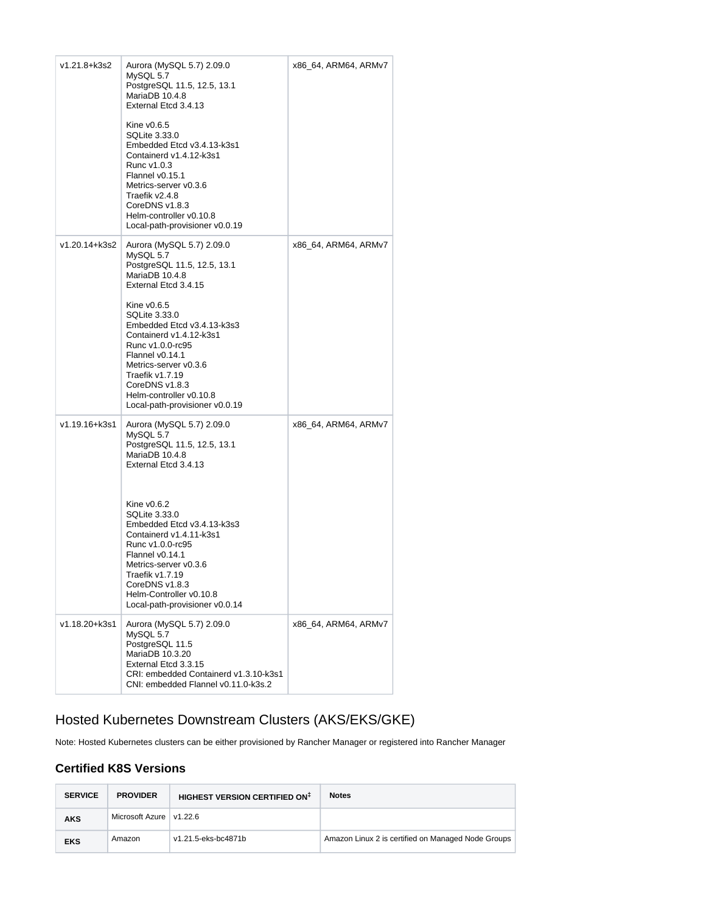| v1.21.8+k3s2  | Aurora (MySQL 5.7) 2.09.0<br>MySQL 5.7<br>PostgreSQL 11.5, 12.5, 13.1<br>MariaDB 10.4.8<br>External Etcd 3.4.13<br>Kine v0.6.5<br><b>SQLite 3.33.0</b><br>Embedded Etcd v3.4.13-k3s1<br>Containerd v1.4.12-k3s1<br>Runc v1.0.3<br>Flannel v0.15.1<br>Metrics-server v0.3.6<br>Traefik v2.4.8<br>CoreDNS v1.8.3<br>Helm-controller v0.10.8<br>Local-path-provisioner v0.0.19  | x86 64, ARM64, ARMv7 |
|---------------|------------------------------------------------------------------------------------------------------------------------------------------------------------------------------------------------------------------------------------------------------------------------------------------------------------------------------------------------------------------------------|----------------------|
| v1.20.14+k3s2 | Aurora (MySQL 5.7) 2.09.0<br>MySQL 5.7<br>PostgreSQL 11.5, 12.5, 13.1<br>MariaDB 10.4.8<br>External Etcd 3.4.15<br>Kine v0.6.5<br>SQLite 3.33.0<br>Embedded Etcd v3.4.13-k3s3<br>Containerd v1.4.12-k3s1<br>Runc v1.0.0-rc95<br>Flannel v0.14.1<br>Metrics-server v0.3.6<br>Traefik v1.7.19<br>CoreDNS v1.8.3<br>Helm-controller v0.10.8<br>Local-path-provisioner v0.0.19   | x86_64, ARM64, ARMv7 |
| v1.19.16+k3s1 | Aurora (MySQL 5.7) 2.09.0<br>MySQL 5.7<br>PostgreSQL 11.5, 12.5, 13.1<br>MariaDB 10.4.8<br>External Etcd 3.4.13<br>Kine $v0.6.2$<br>SQLite 3.33.0<br>Embedded Etcd v3.4.13-k3s3<br>Containerd v1.4.11-k3s1<br>Runc v1.0.0-rc95<br>Flannel v0.14.1<br>Metrics-server v0.3.6<br>Traefik v1.7.19<br>CoreDNS v1.8.3<br>Helm-Controller v0.10.8<br>Local-path-provisioner v0.0.14 | x86_64, ARM64, ARMv7 |
| v1.18.20+k3s1 | Aurora (MySQL 5.7) 2.09.0<br>MySQL 5.7<br>PostgreSQL 11.5<br>MariaDB 10.3.20<br>External Etcd 3.3.15<br>CRI: embedded Containerd v1.3.10-k3s1<br>CNI: embedded Flannel v0.11.0-k3s.2                                                                                                                                                                                         | x86_64, ARM64, ARMv7 |

## Hosted Kubernetes Downstream Clusters (AKS/EKS/GKE)

Note: Hosted Kubernetes clusters can be either provisioned by Rancher Manager or registered into Rancher Manager

#### **Certified K8S Versions**

| <b>SERVICE</b> | <b>PROVIDER</b>           | HIGHEST VERSION CERTIFIED ON <sup>‡</sup> | <b>Notes</b>                                       |
|----------------|---------------------------|-------------------------------------------|----------------------------------------------------|
| <b>AKS</b>     | Microsoft Azure   v1.22.6 |                                           |                                                    |
| <b>EKS</b>     | Amazon                    | v1.21.5-eks-bc4871b                       | Amazon Linux 2 is certified on Managed Node Groups |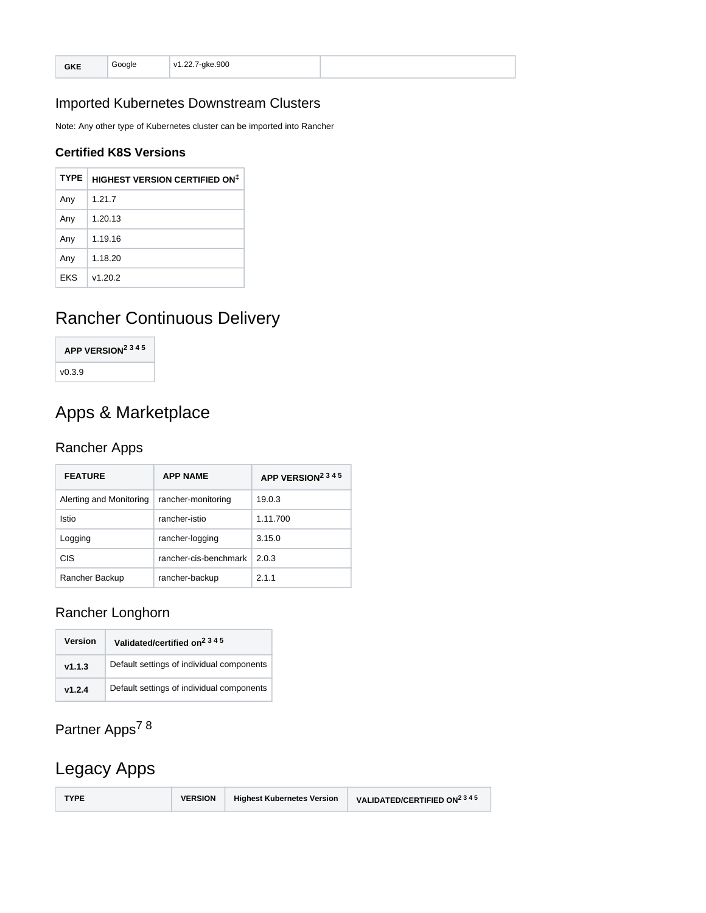| r.<br>ື້ | ا سمی حر | -ake.900<br>v1 22 7<br>. |  |
|----------|----------|--------------------------|--|
|----------|----------|--------------------------|--|

### Imported Kubernetes Downstream Clusters

Note: Any other type of Kubernetes cluster can be imported into Rancher

#### **Certified K8S Versions**

| <b>TYPE</b> | <b>HIGHEST VERSION CERTIFIED ON<sup>‡</sup></b> |
|-------------|-------------------------------------------------|
| Any         | 1.21.7                                          |
| Any         | 1.20.13                                         |
| Any         | 1.19.16                                         |
| Any         | 1.18.20                                         |
| <b>EKS</b>  | v1.20.2                                         |

# Rancher Continuous Delivery

| APP VERSION <sup>2345</sup> |  |
|-----------------------------|--|
| v0.3.9                      |  |

# Apps & Marketplace

#### Rancher Apps

| <b>FEATURE</b>          | <b>APP NAME</b>       | APP VERSION <sup>2345</sup> |
|-------------------------|-----------------------|-----------------------------|
| Alerting and Monitoring | rancher-monitoring    | 19.0.3                      |
| Istio                   | rancher-istio         | 1.11.700                    |
| Logging                 | rancher-logging       | 3.15.0                      |
| <b>CIS</b>              | rancher-cis-benchmark | 2.0.3                       |
| Rancher Backup          | rancher-backup        | 2.1.1                       |

### Rancher Longhorn

| Version | Validated/certified on <sup>2345</sup>    |
|---------|-------------------------------------------|
| v1.1.3  | Default settings of individual components |
| v1.2.4  | Default settings of individual components |

# Partner Apps<sup>78</sup>

# Legacy Apps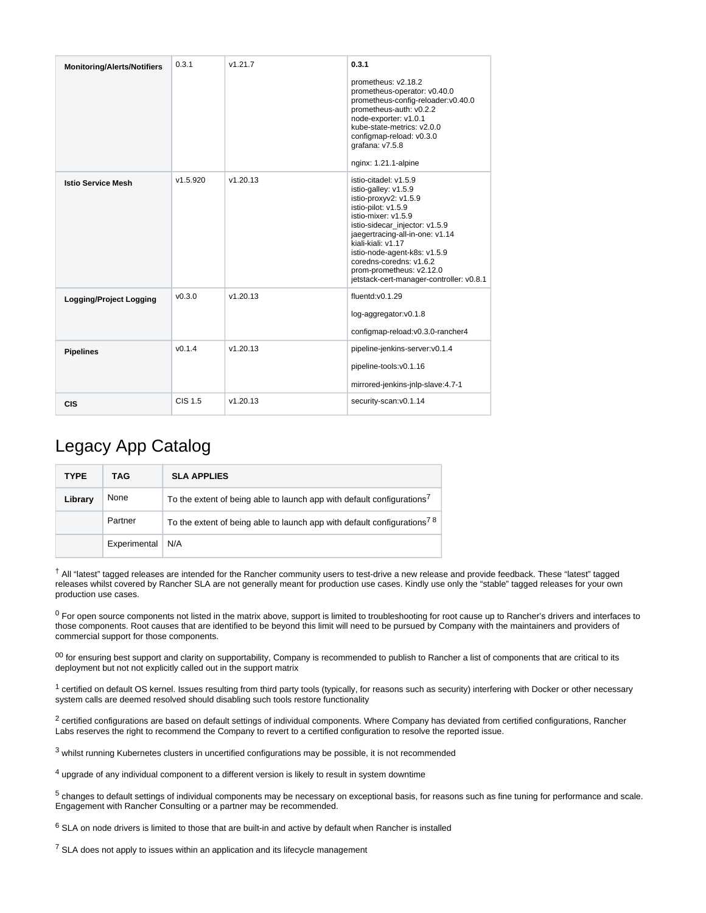| <b>Monitoring/Alerts/Notifiers</b> | 0.3.1    | v1.21.7  | 0.3.1                                                                                                                                                                                                                                                                                                                                              |
|------------------------------------|----------|----------|----------------------------------------------------------------------------------------------------------------------------------------------------------------------------------------------------------------------------------------------------------------------------------------------------------------------------------------------------|
|                                    |          |          | prometheus: v2.18.2<br>prometheus-operator: v0.40.0<br>prometheus-config-reloader:v0.40.0<br>prometheus-auth: v0.2.2<br>node-exporter: v1.0.1<br>kube-state-metrics: v2.0.0<br>configmap-reload: v0.3.0<br>grafana: v7.5.8<br>nginx: 1.21.1-alpine                                                                                                 |
| <b>Istio Service Mesh</b>          | v1.5.920 | v1.20.13 | istio-citadel: v1.5.9<br>istio-galley: v1.5.9<br>istio-proxyv2: v1.5.9<br>istio-pilot: v1.5.9<br>istio-mixer: v1.5.9<br>istio-sidecar_injector: v1.5.9<br>jaegertracing-all-in-one: v1.14<br>kiali-kiali: v1.17<br>istio-node-agent-k8s: v1.5.9<br>coredns-coredns: v1.6.2<br>prom-prometheus: v2.12.0<br>jetstack-cert-manager-controller: v0.8.1 |
| <b>Logging/Project Logging</b>     | v0.3.0   | v1.20.13 | fluentd:v0.1.29<br>log-aggregator:v0.1.8<br>configmap-reload:v0.3.0-rancher4                                                                                                                                                                                                                                                                       |
| <b>Pipelines</b>                   | v0.1.4   | v1.20.13 | pipeline-jenkins-server:v0.1.4<br>pipeline-tools:v0.1.16<br>mirrored-jenkins-jnlp-slave:4.7-1                                                                                                                                                                                                                                                      |
| <b>CIS</b>                         | CIS 1.5  | v1.20.13 | security-scan:v0.1.14                                                                                                                                                                                                                                                                                                                              |

## Legacy App Catalog

| <b>TYPE</b> | TAG          | <b>SLA APPLIES</b>                                                                  |
|-------------|--------------|-------------------------------------------------------------------------------------|
| Library     | None         | To the extent of being able to launch app with default configurations'              |
|             | Partner      | To the extent of being able to launch app with default configurations <sup>78</sup> |
|             | Experimental | N/A                                                                                 |

 All "latest" tagged releases are intended for the Rancher community users to test-drive a new release and provide feedback. These "latest" tagged † releases whilst covered by Rancher SLA are not generally meant for production use cases. Kindly use only the "stable" tagged releases for your own production use cases.

 $0$  For open source components not listed in the matrix above, support is limited to troubleshooting for root cause up to Rancher's drivers and interfaces to those components. Root causes that are identified to be beyond this limit will need to be pursued by Company with the maintainers and providers of commercial support for those components.

 $00$  for ensuring best support and clarity on supportability, Company is recommended to publish to Rancher a list of components that are critical to its deployment but not not explicitly called out in the support matrix

 $1$  certified on default OS kernel. Issues resulting from third party tools (typically, for reasons such as security) interfering with Docker or other necessary system calls are deemed resolved should disabling such tools restore functionality

<sup>2</sup> certified configurations are based on default settings of individual components. Where Company has deviated from certified configurations, Rancher Labs reserves the right to recommend the Company to revert to a certified configuration to resolve the reported issue.

 $3$  whilst running Kubernetes clusters in uncertified configurations may be possible, it is not recommended

 $4$  upgrade of any individual component to a different version is likely to result in system downtime

 $5$  changes to default settings of individual components may be necessary on exceptional basis, for reasons such as fine tuning for performance and scale. Engagement with Rancher Consulting or a partner may be recommended.

 $6$  SLA on node drivers is limited to those that are built-in and active by default when Rancher is installed

 $<sup>7</sup>$  SLA does not apply to issues within an application and its lifecycle management</sup>